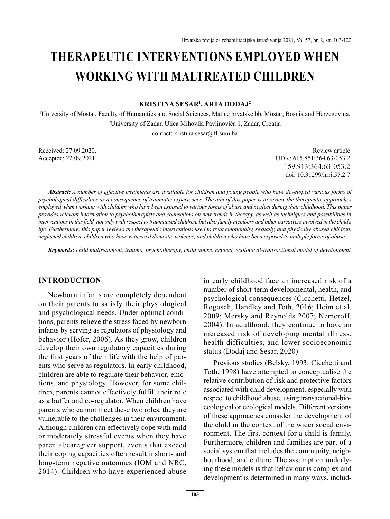# **THERAPEUTIC INTERVENTIONS EMPLOYED WHEN WORKING WITH MALTREATED CHILDREN**

**KRISTINA SESAR<sup>1</sup> , ARTA DODAJ<sup>2</sup>**

1 University of Mostar, Faculty of Humanities and Social Sciences, Matice hrvatske bb, Mostar, Bosnia and Herzegovina, 2 University of Zadar, Ulica Mihovila Pavlinovića 1, Zadar, Croatia contact: kristina.sesar@ff.sum.ba

Accepted: 22.09.2021.

Received: 27.09.2020. Review article<br>Accented: 27.09.2020. Review article<br>Accented: 27.09.2021 159.913:364.63-053.2 doi: 10.31299/hrri.57.2.7

*Abstract: A number of effective treatments are available for children and young people who have developed various forms of psychological difficulties as a consequence of traumatic experiences. The aim of this paper is to review the therapeutic approaches employed when working with children who have been exposed to various forms of abuse and neglect during their childhood. This paper provides relevant information to psychotherapists and counsellors on new trends in therapy, as well as techniques and possibilities in interventions in this field, not only with respect to traumatised children, but also family members and other caregivers involved in the child's life. Furthermore, this paper reviews the therapeutic interventions used to treat emotionally, sexually, and physically abused children, neglected children, children who have witnessed domestic violence, and children who have been exposed to multiple forms of abuse.* 

*Keywords: child maltreatment, trauma, psychotherapy, child abuse, neglect, ecological-transactional model of development*

#### **INTRODUCTION**

Newborn infants are completely dependent on their parents to satisfy their physiological and psychological needs. Under optimal conditions, parents relieve the stress faced by newborn infants by serving as regulators of physiology and behavior (Hofer, 2006). As they grow, children develop their own regulatory capacities during the first years of their life with the help of parents who serve as regulators. In early childhood, children are able to regulate their behavior, emotions, and physiology. However, for some children, parents cannot effectively fulfill their role as a buffer and co-regulator. When children have parents who cannot meet these two roles, they are vulnerable to the challenges in their environment. Although children can effectively cope with mild or moderately stressful events when they have parental/caregiver support, events that exceed their coping capacities often result inshort- and long-term negative outcomes (IOM and NRC, 2014). Children who have experienced abuse in early childhood face an increased risk of a number of short-term developmental, health, and psychological consequences (Cicchetti, Hetzel, Rogosch, Handley and Toth, 2016; Heim et al. 2009; Mersky and Reynolds 2007; Nemeroff, 2004). In adulthood, they continue to have an increased risk of developing mental illness, health difficulties, and lower socioeconomic status (Dodaj and Sesar, 2020).

Previous studies (Belsky, 1993; Cicchetti and Toth, 1998) have attempted to conceptualise the relative contribution of risk and protective factors associated with child development, especially with respect to childhood abuse, using transactional-bioecological or ecological models. Different versions of these approaches consider the development of the child in the context of the wider social environment. The first context for a child is family. Furthermore, children and families are part of a social system that includes the community, neighbourhood, and culture. The assumption underlying these models is that behaviour is complex and development is determined in many ways, includ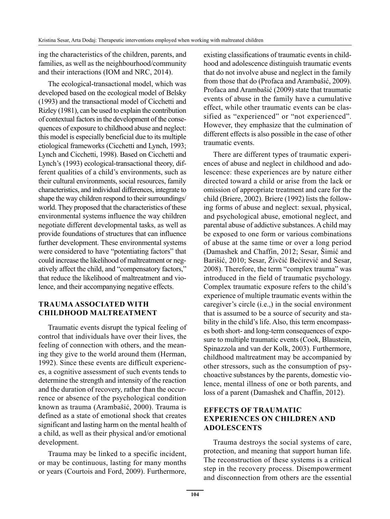ing the characteristics of the children, parents, and families, as well as the neighbourhood/community and their interactions (IOM and NRC, 2014).

The ecological-transactional model, which was developed based on the ecological model of Belsky (1993) and the transactional model of Cicchetti and Rizley (1981), can be used to explain the contribution of contextual factors in the development of the consequences of exposure to childhood abuse and neglect: this model is especially beneficial due to its multiple etiological frameworks (Cicchetti and Lynch, 1993; Lynch and Cicchetti, 1998). Based on Cicchetti and Lynch's (1993) ecological-transactional theory, different qualities of a child's environments, such as their cultural environments, social resources, family characteristics, and individual differences, integrate to shape the way children respond to their surroundings/ world. They proposed that the characteristics of these environmental systems influence the way children negotiate different developmental tasks, as well as provide foundations of structures that can influence further development. These environmental systems were considered to have "potentiating factors" that could increase the likelihood of maltreatment or negatively affect the child, and "compensatory factors," that reduce the likelihood of maltreatment and violence, and their accompanying negative effects.

# **TRAUMA ASSOCIATED WITH CHILDHOOD MALTREATMENT**

Traumatic events disrupt the typical feeling of control that individuals have over their lives, the feeling of connection with others, and the meaning they give to the world around them (Herman, 1992). Since these events are difficult experiences, a cognitive assessment of such events tends to determine the strength and intensity of the reaction and the duration of recovery, rather than the occurrence or absence of the psychological condition known as trauma (Arambašić, 2000). Trauma is defined as a state of emotional shock that creates significant and lasting harm on the mental health of a child, as well as their physical and/or emotional development.

Trauma may be linked to a specific incident, or may be continuous, lasting for many months or years (Courtois and Ford, 2009). Furthermore, existing classifications of traumatic events in childhood and adolescence distinguish traumatic events that do not involve abuse and neglect in the family from those that do (Profaca and Arambašić, 2009). Profaca and Arambašić (2009) state that traumatic events of abuse in the family have a cumulative effect, while other traumatic events can be classified as "experienced" or "not experienced". However, they emphasize that the culmination of different effects is also possible in the case of other traumatic events.

There are different types of traumatic experiences of abuse and neglect in childhood and adolescence: these experiences are by nature either directed toward a child or arise from the lack or omission of appropriate treatment and care for the child (Briere, 2002). Briere (1992) lists the following forms of abuse and neglect: sexual, physical, and psychological abuse, emotional neglect, and parental abuse of addictive substances. A child may be exposed to one form or various combinations of abuse at the same time or over a long period (Damashek and Chaffin, 2012; Sesar, Šimić and Barišić, 2010; Sesar, Živčić Bećirević and Sesar, 2008). Therefore, the term "complex trauma" was introduced in the field of traumatic psychology. Complex traumatic exposure refers to the child's experience of multiple traumatic events within the caregiver's circle (i.e.,) in the social environment that is assumed to be a source of security and stability in the child's life. Also, this term encompasses both short- and long-term consequences of exposure to multiple traumatic events (Cook, Blaustein, Spinazzola and van der Kolk, 2003). Furthermore, childhood maltreatment may be accompanied by other stressors, such as the consumption of psychoactive substances by the parents, domestic violence, mental illness of one or both parents, and loss of a parent (Damashek and Chaffin, 2012).

# **EFFECTS OF TRAUMATIC EXPERIENCES ON CHILDREN AND ADOLESCENTS**

Trauma destroys the social systems of care, protection, and meaning that support human life. The reconstruction of these systems is a critical step in the recovery process. Disempowerment and disconnection from others are the essential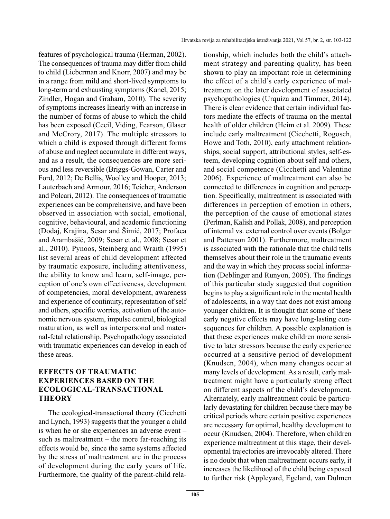features of psychological trauma (Herman, 2002). The consequences of trauma may differ from child to child (Lieberman and Knorr, 2007) and may be in a range from mild and short-lived symptoms to long-term and exhausting symptoms (Kanel, 2015; Zindler, Hogan and Graham, 2010). The severity of symptoms increases linearly with an increase in the number of forms of abuse to which the child has been exposed (Cecil, Viding, Fearson, Glaser and McCrory, 2017). The multiple stressors to which a child is exposed through different forms of abuse and neglect accumulate in different ways, and as a result, the consequences are more serious and less reversible (Briggs-Gowan, Carter and Ford, 2012; De Bellis, Woolley and Hooper, 2013; Lauterbach and Armour, 2016; Teicher, Anderson and Polcari, 2012). The consequences of traumatic experiences can be comprehensive, and have been observed in association with social, emotional, cognitive, behavioural, and academic functioning (Dodaj, Krajina, Sesar and Šimić, 2017; Profaca and Arambašić, 2009; Sesar et al., 2008; Sesar et al., 2010). Pynoos, Steinberg and Wraith (1995) list several areas of child development affected by traumatic exposure, including attentiveness, the ability to know and learn, self-image, perception of one's own effectiveness, development of competencies, moral development, awareness and experience of continuity, representation of self and others, specific worries, activation of the autonomic nervous system, impulse control, biological maturation, as well as interpersonal and maternal-fetal relationship. Psychopathology associated with traumatic experiences can develop in each of these areas.

# **EFFECTS OF TRAUMATIC EXPERIENCES BASED ON THE ECOLOGICAL-TRANSACTIONAL THEORY**

The ecological-transactional theory (Cicchetti and Lynch, 1993) suggests that the younger a child is when he or she experiences an adverse event – such as maltreatment – the more far-reaching its effects would be, since the same systems affected by the stress of maltreatment are in the process of development during the early years of life. Furthermore, the quality of the parent-child relationship, which includes both the child's attachment strategy and parenting quality, has been shown to play an important role in determining the effect of a child's early experience of maltreatment on the later development of associated psychopathologies (Urquiza and Timmer, 2014). There is clear evidence that certain individual factors mediate the effects of trauma on the mental health of older children (Heim et al. 2009). These include early maltreatment (Cicchetti, Rogosch, Howe and Toth, 2010), early attachment relationships, social support, attributional styles, self-esteem, developing cognition about self and others, and social competence (Cicchetti and Valentino 2006). Experience of maltreatment can also be connected to differences in cognition and perception. Specifically, maltreatment is associated with differences in perception of emotion in others, the perception of the cause of emotional states (Perlman, Kalish and Pollak, 2008), and perception of internal vs. external control over events (Bolger and Patterson 2001). Furthermore, maltreatment is associated with the rationale that the child tells themselves about their role in the traumatic events and the way in which they process social information (Deblinger and Runyon, 2005). The findings of this particular study suggested that cognition begins to play a significant role in the mental health of adolescents, in a way that does not exist among younger children. It is thought that some of these early negative effects may have long-lasting consequences for children. A possible explanation is that these experiences make children more sensitive to later stressors because the early experience occurred at a sensitive period of development (Knudsen, 2004), when many changes occur at many levels of development. As a result, early maltreatment might have a particularly strong effect on different aspects of the child's development. Alternately, early maltreatment could be particularly devastating for children because there may be critical periods where certain positive experiences are necessary for optimal, healthy development to occur (Knudsen, 2004). Therefore, when children experience maltreatment at this stage, their developmental trajectories are irrevocably altered. There is no doubt that when maltreatment occurs early, it increases the likelihood of the child being exposed to further risk (Appleyard, Egeland, van Dulmen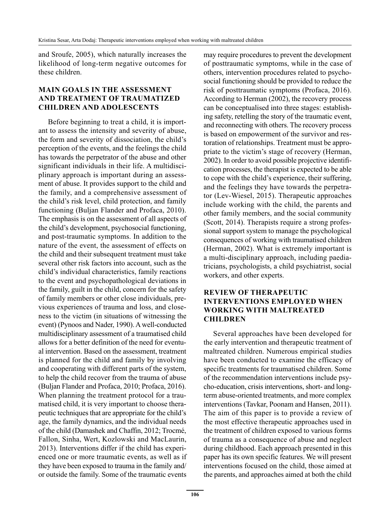and Sroufe, 2005), which naturally increases the likelihood of long-term negative outcomes for these children.

### **MAIN GOALS IN THE ASSESSMENT AND TREATMENT OF TRAUMATIZED CHILDREN AND ADOLESCENTS**

Before beginning to treat a child, it is important to assess the intensity and severity of abuse, the form and severity of dissociation, the child's perception of the events, and the feelings the child has towards the perpetrator of the abuse and other significant individuals in their life. A multidisciplinary approach is important during an assessment of abuse. It provides support to the child and the family, and a comprehensive assessment of the child's risk level, child protection, and family functioning (Buljan Flander and Profaca, 2010). The emphasis is on the assessment of all aspects of the child's development, psychosocial functioning, and post-traumatic symptoms. In addition to the nature of the event, the assessment of effects on the child and their subsequent treatment must take several other risk factors into account, such as the child's individual characteristics, family reactions to the event and psychopathological deviations in the family, guilt in the child, concern for the safety of family members or other close individuals, previous experiences of trauma and loss, and closeness to the victim (in situations of witnessing the event) (Pynoos and Nader, 1990). A well-conducted multidisciplinary assessment of a traumatised child allows for a better definition of the need for eventual intervention. Based on the assessment, treatment is planned for the child and family by involving and cooperating with different parts of the system, to help the child recover from the trauma of abuse (Buljan Flander and Profaca, 2010; Profaca, 2016). When planning the treatment protocol for a traumatised child, it is very important to choose therapeutic techniques that are appropriate for the child's age, the family dynamics, and the individual needs of the child (Damashek and Chaffin, 2012; Trocmé, Fallon, Sinha, Wert, Kozlowski and MacLaurin, 2013). Interventions differ if the child has experienced one or more traumatic events, as well as if they have been exposed to trauma in the family and/ or outside the family. Some of the traumatic events may require procedures to prevent the development of posttraumatic symptoms, while in the case of others, intervention procedures related to psychosocial functioning should be provided to reduce the risk of posttraumatic symptoms (Profaca, 2016). According to Herman (2002), the recovery process can be conceptualised into three stages: establishing safety, retelling the story of the traumatic event, and reconnecting with others. The recovery process is based on empowerment of the survivor and restoration of relationships. Treatment must be appropriate to the victim's stage of recovery (Herman, 2002). In order to avoid possible projective identification processes, the therapist is expected to be able to cope with the child's experience, their suffering, and the feelings they have towards the perpetrator (Lev-Wiesel, 2015). Therapeutic approaches include working with the child, the parents and other family members, and the social community (Scott, 2014). Therapists require a strong professional support system to manage the psychological consequences of working with traumatised children (Herman, 2002). What is extremely important is a multi-disciplinary approach, including paediatricians, psychologists, a child psychiatrist, social workers, and other experts.

## **REVIEW OF THERAPEUTIC INTERVENTIONS EMPLOYED WHEN WORKING WITH MALTREATED CHILDREN**

Several approaches have been developed for the early intervention and therapeutic treatment of maltreated children. Numerous empirical studies have been conducted to examine the efficacy of specific treatments for traumatised children. Some of the recommendation interventions include psycho-education, crisis interventions, short- and longterm abuse-oriented treatments, and more complex interventions (Tavkar, Poonam and Hansen, 2011). The aim of this paper is to provide a review of the most effective therapeutic approaches used in the treatment of children exposed to various forms of trauma as a consequence of abuse and neglect during childhood. Each approach presented in this paper has its own specific features. We will present interventions focused on the child, those aimed at the parents, and approaches aimed at both the child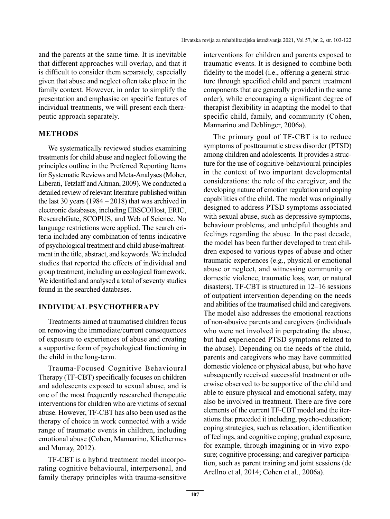and the parents at the same time. It is inevitable that different approaches will overlap, and that it is difficult to consider them separately, especially given that abuse and neglect often take place in the family context. However, in order to simplify the presentation and emphasise on specific features of individual treatments, we will present each therapeutic approach separately.

# **METHODS**

We systematically reviewed studies examining treatments for child abuse and neglect following the principles outline in the Preferred Reporting Items for Systematic Reviews and Meta-Analyses (Moher, Liberati, Tetzlaff and Altman, 2009). We conducted a detailed review of relevant literature published within the last 30 years  $(1984 – 2018)$  that was archived in electronic databases, including EBSCOHost, ERIC, ResearchGate, SCOPUS, and Web of Science. No language restrictions were applied. The search criteria included any combination of terms indicative of psychological treatment and child abuse/maltreatment in the title, abstract, and keywords. We included studies that reported the effects of individual and group treatment, including an ecological framework. We identified and analysed a total of seventy studies found in the searched databases.

## **INDIVIDUAL PSYCHOTHERAPY**

Treatments aimed at traumatised children focus on removing the immediate/current consequences of exposure to experiences of abuse and creating a supportive form of psychological functioning in the child in the long-term.

Trauma-Focused Cognitive Behavioural Therapy (TF-CBT) specifically focuses on children and adolescents exposed to sexual abuse, and is one of the most frequently researched therapeutic interventions for children who are victims of sexual abuse. However, TF-CBT has also been used as the therapy of choice in work connected with a wide range of traumatic events in children, including emotional abuse (Cohen, Mannarino, Kliethermes and Murray, 2012).

TF-CBT is a hybrid treatment model incorporating cognitive behavioural, interpersonal, and family therapy principles with trauma-sensitive interventions for children and parents exposed to traumatic events. It is designed to combine both fidelity to the model (i.e., offering a general structure through specified child and parent treatment components that are generally provided in the same order), while encouraging a significant degree of therapist flexibility in adapting the model to that specific child, family, and community (Cohen, Mannarino and Deblinger, 2006a).

The primary goal of TF-CBT is to reduce symptoms of posttraumatic stress disorder (PTSD) among children and adolescents. It provides a structure for the use of cognitive-behavioural principles in the context of two important developmental considerations: the role of the caregiver, and the developing nature of emotion regulation and coping capabilities of the child. The model was originally designed to address PTSD symptoms associated with sexual abuse, such as depressive symptoms, behaviour problems, and unhelpful thoughts and feelings regarding the abuse. In the past decade, the model has been further developed to treat children exposed to various types of abuse and other traumatic experiences (e.g., physical or emotional abuse or neglect, and witnessing community or domestic violence, traumatic loss, war, or natural disasters). TF-CBT is structured in 12–16 sessions of outpatient intervention depending on the needs and abilities of the traumatised child and caregivers. The model also addresses the emotional reactions of non-abusive parents and caregivers (individuals who were not involved in perpetrating the abuse, but had experienced PTSD symptoms related to the abuse). Depending on the needs of the child, parents and caregivers who may have committed domestic violence or physical abuse, but who have subsequently received successful treatment or otherwise observed to be supportive of the child and able to ensure physical and emotional safety, may also be involved in treatment. There are five core elements of the current TF-CBT model and the iterations that preceded it including, psycho-education; coping strategies, such as relaxation, identification of feelings, and cognitive coping; gradual exposure, for example, through imagining or in-vivo exposure; cognitive processing; and caregiver participation, such as parent training and joint sessions (de Arellno et al, 2014; Cohen et al., 2006a).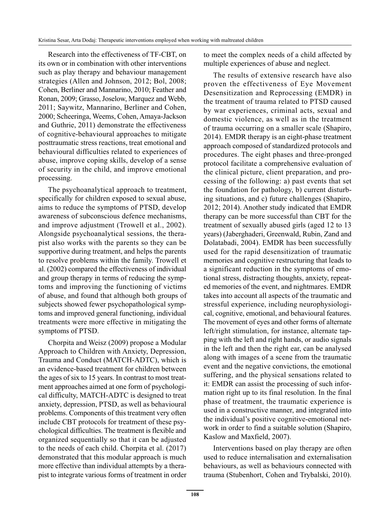Research into the effectiveness of TF-CBT, on its own or in combination with other interventions such as play therapy and behaviour management strategies (Allen and Johnson, 2012; Bol, 2008; Cohen, Berliner and Mannarino, 2010; Feather and Ronan, 2009; Grasso, Joselow, Marquez and Webb, 2011; Saywitz, Mannarino, Berliner and Cohen, 2000; Scheeringa, Weems, Cohen, Amaya-Jackson and Guthrie, 2011) demonstrate the effectiveness of cognitive-behavioural approaches to mitigate posttraumatic stress reactions, treat emotional and behavioural difficulties related to experiences of abuse, improve coping skills, develop of a sense of security in the child, and improve emotional processing.

The psychoanalytical approach to treatment, specifically for children exposed to sexual abuse, aims to reduce the symptoms of PTSD, develop awareness of subconscious defence mechanisms, and improve adjustment (Trowell et al., 2002). Alongside psychoanalytical sessions, the therapist also works with the parents so they can be supportive during treatment, and helps the parents to resolve problems within the family. Trowell et al. (2002) compared the effectiveness of individual and group therapy in terms of reducing the symptoms and improving the functioning of victims of abuse, and found that although both groups of subjects showed fewer psychopathological symptoms and improved general functioning, individual treatments were more effective in mitigating the symptoms of PTSD.

Chorpita and Weisz (2009) propose a Modular Approach to Children with Anxiety, Depression, Trauma and Conduct (MATCH-ADTC), which is an evidence-based treatment for children between the ages of six to 15 years. In contrast to most treatment approaches aimed at one form of psychological difficulty, MATCH-ADTC is designed to treat anxiety, depression, PTSD, as well as behavioural problems. Components of this treatment very often include CBT protocols for treatment of these psychological difficulties. The treatment is flexible and organized sequentially so that it can be adjusted to the needs of each child. Chorpita et al. (2017) demonstrated that this modular approach is much more effective than individual attempts by a therapist to integrate various forms of treatment in order to meet the complex needs of a child affected by multiple experiences of abuse and neglect.

The results of extensive research have also proven the effectiveness of Eye Movement Desensitization and Reprocessing (EMDR) in the treatment of trauma related to PTSD caused by war experiences, criminal acts, sexual and domestic violence, as well as in the treatment of trauma occurring on a smaller scale (Shapiro, 2014). EMDR therapy is an eight-phase treatment approach composed of standardized protocols and procedures. The eight phases and three-pronged protocol facilitate a comprehensive evaluation of the clinical picture, client preparation, and processing of the following: a) past events that set the foundation for pathology, b) current disturbing situations, and c) future challenges (Shapiro, 2012; 2014). Another study indicated that EMDR therapy can be more successful than CBT for the treatment of sexually abused girls (aged 12 to 13 years) (Jaberghaderi, Greenwald, Rubin, Zand and Dolatabadi, 2004). EMDR has been successfully used for the rapid desensitization of traumatic memories and cognitive restructuring that leads to a significant reduction in the symptoms of emotional stress, distracting thoughts, anxiety, repeated memories of the event, and nightmares. EMDR takes into account all aspects of the traumatic and stressful experience, including neurophysiological, cognitive, emotional, and behavioural features. The movement of eyes and other forms of alternate left/right stimulation, for instance, alternate tapping with the left and right hands, or audio signals in the left and then the right ear, can be analysed along with images of a scene from the traumatic event and the negative convictions, the emotional suffering, and the physical sensations related to it: EMDR can assist the processing of such information right up to its final resolution. In the final phase of treatment, the traumatic experience is used in a constructive manner, and integrated into the individual's positive cognitive-emotional network in order to find a suitable solution (Shapiro, Kaslow and Maxfield, 2007).

Interventions based on play therapy are often used to reduce internalisation and externalisation behaviours, as well as behaviours connected with trauma (Stubenhort, Cohen and Trybalski, 2010).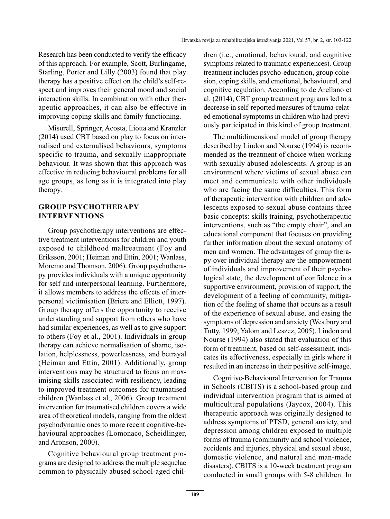Research has been conducted to verify the efficacy of this approach. For example, Scott, Burlingame, Starling, Porter and Lilly (2003) found that play therapy has a positive effect on the child's self-respect and improves their general mood and social interaction skills. In combination with other therapeutic approaches, it can also be effective in improving coping skills and family functioning.

Misurell, Springer, Acosta, Liotta and Kranzler (2014) used CBT based on play to focus on internalised and externalised behaviours, symptoms specific to trauma, and sexually inappropriate behaviour. It was shown that this approach was effective in reducing behavioural problems for all age groups, as long as it is integrated into play therapy.

# **GROUP PSYCHOTHERAPY INTERVENTIONS**

Group psychotherapy interventions are effective treatment interventions for children and youth exposed to childhood maltreatment (Foy and Eriksson, 2001; Heiman and Ettin, 2001; Wanlass, Moremo and Thomson, 2006). Group psychotherapy provides individuals with a unique opportunity for self and interpersonal learning. Furthermore, it allows members to address the effects of interpersonal victimisation (Briere and Elliott, 1997). Group therapy offers the opportunity to receive understanding and support from others who have had similar experiences, as well as to give support to others (Foy et al., 2001). Individuals in group therapy can achieve normalisation of shame, isolation, helplessness, powerlessness, and betrayal (Heiman and Ettin, 2001). Additionally, group interventions may be structured to focus on maximising skills associated with resiliency, leading to improved treatment outcomes for traumatised children (Wanlass et al., 2006). Group treatment intervention for traumatised children covers a wide area of theoretical models, ranging from the oldest psychodynamic ones to more recent cognitive-behavioural approaches (Lomonaco, Scheidlinger, and Aronson, 2000).

Cognitive behavioural group treatment programs are designed to address the multiple sequelae common to physically abused school-aged children (i.e., emotional, behavioural, and cognitive symptoms related to traumatic experiences). Group treatment includes psycho-education, group cohesion, coping skills, and emotional, behavioural, and cognitive regulation. According to de Arellano et al. (2014), CBT group treatment programs led to a decrease in self-reported measures of trauma-related emotional symptoms in children who had previously participated in this kind of group treatment.

The multidimensional model of group therapy described by Lindon and Nourse (1994) is recommended as the treatment of choice when working with sexually abused adolescents. A group is an environment where victims of sexual abuse can meet and communicate with other individuals who are facing the same difficulties. This form of therapeutic intervention with children and adolescents exposed to sexual abuse contains three basic concepts: skills training, psychotherapeutic interventions, such as "the empty chair", and an educational component that focuses on providing further information about the sexual anatomy of men and women. The advantages of group therapy over individual therapy are the empowerment of individuals and improvement of their psychological state, the development of confidence in a supportive environment, provision of support, the development of a feeling of community, mitigation of the feeling of shame that occurs as a result of the experience of sexual abuse, and easing the symptoms of depression and anxiety (Westbury and Tutty, 1999; Yalom and Leszcz, 2005). Lindon and Nourse (1994) also stated that evaluation of this form of treatment, based on self-assessment, indicates its effectiveness, especially in girls where it resulted in an increase in their positive self-image.

Cognitive-Behavioural Intervention for Trauma in Schools (CBITS) is a school-based group and individual intervention program that is aimed at multicultural populations (Jaycox, 2004). This therapeutic approach was originally designed to address symptoms of PTSD, general anxiety, and depression among children exposed to multiple forms of trauma (community and school violence, accidents and injuries, physical and sexual abuse, domestic violence, and natural and man-made disasters). CBITS is a 10-week treatment program conducted in small groups with 5-8 children. In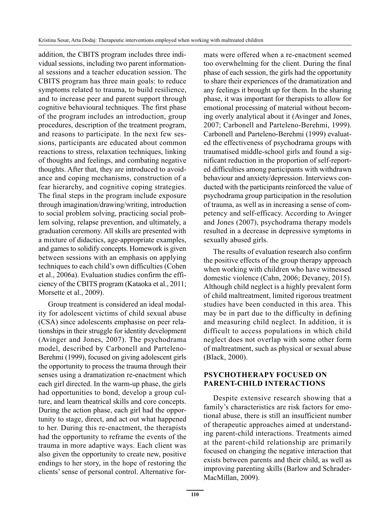addition, the CBITS program includes three individual sessions, including two parent informational sessions and a teacher education session. The CBITS program has three main goals: to reduce symptoms related to trauma, to build resilience, and to increase peer and parent support through cognitive behavioural techniques. The first phase of the program includes an introduction, group procedures, description of the treatment program, and reasons to participate. In the next few sessions, participants are educated about common reactions to stress, relaxation techniques, linking of thoughts and feelings, and combating negative thoughts. After that, they are introduced to avoidance and coping mechanisms, construction of a fear hierarchy, and cognitive coping strategies. The final steps in the program include exposure through imagination/drawing/writing, introduction to social problem solving, practicing social problem solving, relapse prevention, and ultimately, a graduation ceremony. All skills are presented with a mixture of didactics, age-appropriate examples, and games to solidify concepts. Homework is given between sessions with an emphasis on applying techniques to each child's own difficulties (Cohen et al., 2006a). Evaluation studies confirm the efficiency of the CBITS program (Kataoka et al., 2011; Morsette et al., 2009).

Group treatment is considered an ideal modality for adolescent victims of child sexual abuse (CSA) since adolescents emphasise on peer relationships in their struggle for identity development (Avinger and Jones, 2007). The psychodrama model, described by Carbonell and Parteleno-Berehmi (1999), focused on giving adolescent girls the opportunity to process the trauma through their senses using a dramatization re-enactment which each girl directed. In the warm-up phase, the girls had opportunities to bond, develop a group culture, and learn theatrical skills and core concepts. During the action phase, each girl had the opportunity to stage, direct, and act out what happened to her. During this re-enactment, the therapists had the opportunity to reframe the events of the trauma in more adaptive ways. Each client was also given the opportunity to create new, positive endings to her story, in the hope of restoring the clients' sense of personal control. Alternative formats were offered when a re-enactment seemed too overwhelming for the client. During the final phase of each session, the girls had the opportunity to share their experiences of the dramatization and any feelings it brought up for them. In the sharing phase, it was important for therapists to allow for emotional processing of material without becoming overly analytical about it (Avinger and Jones, 2007; Carbonell and Parteleno-Berehmi, 1999). Carbonell and Parteleno-Berehmi (1999) evaluated the effectiveness of psychodrama groups with traumatised middle-school girls and found a significant reduction in the proportion of self-reported difficulties among participants with withdrawn behaviour and anxiety/depression. Interviews conducted with the participants reinforced the value of psychodrama group participation in the resolution of trauma, as well as in increasing a sense of competency and self-efficacy. According to Avinger and Jones (2007), psychodrama therapy models resulted in a decrease in depressive symptoms in sexually abused girls.

The results of evaluation research also confirm the positive effects of the group therapy approach when working with children who have witnessed domestic violence (Cahn, 2006; Devaney, 2015). Although child neglect is a highly prevalent form of child maltreatment, limited rigorous treatment studies have been conducted in this area. This may be in part due to the difficulty in defining and measuring child neglect. In addition, it is difficult to access populations in which child neglect does not overlap with some other form of maltreatment, such as physical or sexual abuse (Black, 2000).

# **PSYCHOTHERAPY FOCUSED ON PARENT-CHILD INTERACTIONS**

Despite extensive research showing that a family's characteristics are risk factors for emotional abuse, there is still an insufficient number of therapeutic approaches aimed at understanding parent-child interactions. Treatments aimed at the parent-child relationship are primarily focused on changing the negative interaction that exists between parents and their child, as well as improving parenting skills (Barlow and Schrader-MacMillan, 2009).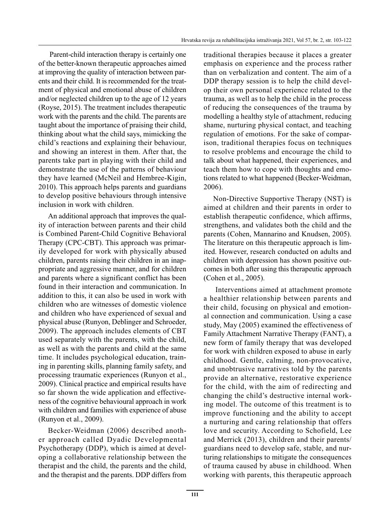Parent-child interaction therapy is certainly one of the better-known therapeutic approaches aimed at improving the quality of interaction between parents and their child. It is recommended for the treatment of physical and emotional abuse of children and/or neglected children up to the age of 12 years (Royse, 2015). The treatment includes therapeutic work with the parents and the child. The parents are taught about the importance of praising their child, thinking about what the child says, mimicking the child's reactions and explaining their behaviour, and showing an interest in them. After that, the parents take part in playing with their child and demonstrate the use of the patterns of behaviour they have learned (McNeil and Hembree-Kigin, 2010). This approach helps parents and guardians to develop positive behaviours through intensive inclusion in work with children.

An additional approach that improves the quality of interaction between parents and their child is Combined Parent-Child Cognitive Behavioral Therapy (CPC-CBT). This approach was primarily developed for work with physically abused children, parents raising their children in an inappropriate and aggressive manner, and for children and parents where a significant conflict has been found in their interaction and communication. In addition to this, it can also be used in work with children who are witnesses of domestic violence and children who have experienced of sexual and physical abuse (Runyon, Deblinger and Schroeder, 2009). The approach includes elements of CBT used separately with the parents, with the child, as well as with the parents and child at the same time. It includes psychological education, training in parenting skills, planning family safety, and processing traumatic experiences (Runyon et al., 2009). Clinical practice and empirical results have so far shown the wide application and effectiveness of the cognitive behavioural approach in work with children and families with experience of abuse (Runyon et al., 2009).

Becker-Weidman (2006) described another approach called Dyadic Developmental Psychotherapy (DDP), which is aimed at developing a collaborative relationship between the therapist and the child, the parents and the child, and the therapist and the parents. DDP differs from traditional therapies because it places a greater emphasis on experience and the process rather than on verbalization and content. The aim of a DDP therapy session is to help the child develop their own personal experience related to the trauma, as well as to help the child in the process of reducing the consequences of the trauma by modelling a healthy style of attachment, reducing shame, nurturing physical contact, and teaching regulation of emotions. For the sake of comparison, traditional therapies focus on techniques to resolve problems and encourage the child to talk about what happened, their experiences, and teach them how to cope with thoughts and emotions related to what happened (Becker-Weidman, 2006).

Non-Directive Supportive Therapy (NST) is aimed at children and their parents in order to establish therapeutic confidence, which affirms, strengthens, and validates both the child and the parents (Cohen, Mannarino and Knudsen, 2005). The literature on this therapeutic approach is limited. However, research conducted on adults and children with depression has shown positive outcomes in both after using this therapeutic approach (Cohen et al., 2005).

 Interventions aimed at attachment promote a healthier relationship between parents and their child, focusing on physical and emotional connection and communication. Using a case study, May (2005) examined the effectiveness of Family Attachment Narrative Therapy (FANT), a new form of family therapy that was developed for work with children exposed to abuse in early childhood. Gentle, calming, non-provocative, and unobtrusive narratives told by the parents provide an alternative, restorative experience for the child, with the aim of redirecting and changing the child's destructive internal working model. The outcome of this treatment is to improve functioning and the ability to accept a nurturing and caring relationship that offers love and security. According to Schofield, Lee and Merrick (2013), children and their parents/ guardians need to develop safe, stable, and nurturing relationships to mitigate the consequences of trauma caused by abuse in childhood. When working with parents, this therapeutic approach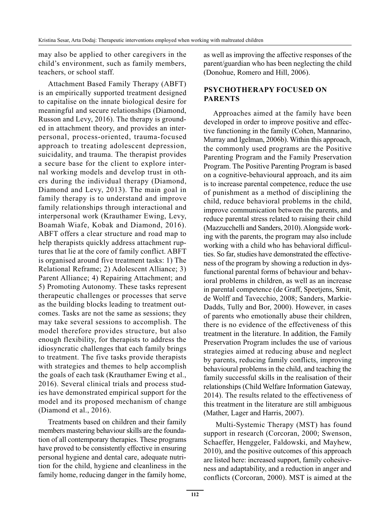may also be applied to other caregivers in the child's environment, such as family members, teachers, or school staff.

Attachment Based Family Therapy (ABFT) is an empirically supported treatment designed to capitalise on the innate biological desire for meaningful and secure relationships (Diamond, Russon and Levy, 2016). The therapy is grounded in attachment theory, and provides an interpersonal, process-oriented, trauma-focused approach to treating adolescent depression, suicidality, and trauma. The therapist provides a secure base for the client to explore internal working models and develop trust in others during the individual therapy (Diamond, Diamond and Levy, 2013). The main goal in family therapy is to understand and improve family relationships through interactional and interpersonal work (Krauthamer Ewing, Levy, Boamah Wiafe, Kobak and Diamond, 2016). ABFT offers a clear structure and road map to help therapists quickly address attachment ruptures that lie at the core of family conflict. ABFT is organised around five treatment tasks: 1) The Relational Reframe; 2) Adolescent Alliance; 3) Parent Alliance; 4) Repairing Attachment; and 5) Promoting Autonomy. These tasks represent therapeutic challenges or processes that serve as the building blocks leading to treatment outcomes. Tasks are not the same as sessions; they may take several sessions to accomplish. The model therefore provides structure, but also enough flexibility, for therapists to address the idiosyncratic challenges that each family brings to treatment. The five tasks provide therapists with strategies and themes to help accomplish the goals of each task (Krauthamer Ewing et al., 2016). Several clinical trials and process studies have demonstrated empirical support for the model and its proposed mechanism of change (Diamond et al., 2016).

Treatments based on children and their family members mastering behaviour skills are the foundation of all contemporary therapies. These programs have proved to be consistently effective in ensuring personal hygiene and dental care, adequate nutrition for the child, hygiene and cleanliness in the family home, reducing danger in the family home, as well as improving the affective responses of the parent/guardian who has been neglecting the child (Donohue, Romero and Hill, 2006).

# **PSYCHOTHERAPY FOCUSED ON PARENTS**

Approaches aimed at the family have been developed in order to improve positive and effective functioning in the family (Cohen, Mannarino, Murray and Igelman, 2006b). Within this approach, the commonly used programs are the Positive Parenting Program and the Family Preservation Program. The Positive Parenting Program is based on a cognitive-behavioural approach, and its aim is to increase parental competence, reduce the use of punishment as a method of disciplining the child, reduce behavioral problems in the child, improve communication between the parents, and reduce parental stress related to raising their child (Mazzucchelli and Sanders, 2010). Alongside working with the parents, the program may also include working with a child who has behavioral difficulties. So far, studies have demonstrated the effectiveness of the program by showing a reduction in dysfunctional parental forms of behaviour and behavioral problems in children, as well as an increase in parental competence (de Graff, Speetjens, Smit, de Wolff and Tavecchio, 2008; Sanders, Markie-Dadds, Tully and Bor, 2000). However, in cases of parents who emotionally abuse their children, there is no evidence of the effectiveness of this treatment in the literature. In addition, the Family Preservation Program includes the use of various strategies aimed at reducing abuse and neglect by parents, reducing family conflicts, improving behavioural problems in the child, and teaching the family successful skills in the realisation of their relationships (Child Welfare Information Gateway, 2014). The results related to the effectiveness of this treatment in the literature are still ambiguous (Mather, Lager and Harris, 2007).

 Multi-Systemic Therapy (MST) has found support in research (Corcoran, 2000; Swenson, Schaeffer, Henggeler, Faldowski, and Mayhew, 2010), and the positive outcomes of this approach are listed here: increased support, family cohesiveness and adaptability, and a reduction in anger and conflicts (Corcoran, 2000). MST is aimed at the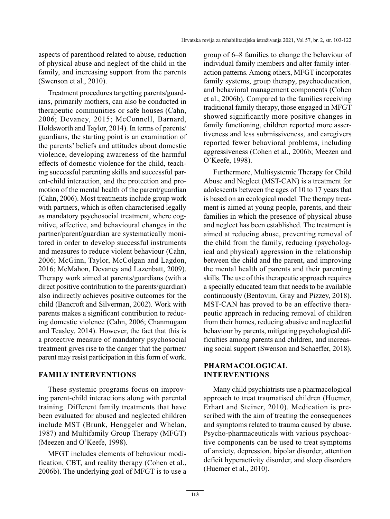aspects of parenthood related to abuse, reduction of physical abuse and neglect of the child in the family, and increasing support from the parents (Swenson et al., 2010).

Treatment procedures targetting parents/guardians, primarily mothers, can also be conducted in therapeutic communities or safe houses (Cahn, 2006; Devaney, 2015; McConnell, Barnard, Holdsworth and Taylor, 2014). In terms of parents/ guardians, the starting point is an examination of the parents' beliefs and attitudes about domestic violence, developing awareness of the harmful effects of domestic violence for the child, teaching successful parenting skills and successful parent-child interaction, and the protection and promotion of the mental health of the parent/guardian (Cahn, 2006). Most treatments include group work with partners, which is often characterised legally as mandatory psychosocial treatment, where cognitive, affective, and behavioural changes in the partner/parent/guardian are systematically monitored in order to develop successful instruments and measures to reduce violent behaviour (Cahn, 2006; McGinn, Taylor, McColgan and Lagdon, 2016; McMahon, Devaney and Lazenbatt, 2009). Therapy work aimed at parents/guardians (with a direct positive contribution to the parents/guardian) also indirectly achieves positive outcomes for the child (Bancroft and Silverman, 2002). Work with parents makes a significant contribution to reducing domestic violence (Cahn, 2006; Chanmugam and Teasley, 2014). However, the fact that this is a protective measure of mandatory psychosocial treatment gives rise to the danger that the partner/ parent may resist participation in this form of work.

#### **FAMILY INTERVENTIONS**

These systemic programs focus on improving parent-child interactions along with parental training. Different family treatments that have been evaluated for abused and neglected children include MST (Brunk, Henggeler and Whelan, 1987) and Multifamily Group Therapy (MFGT) (Meezen and O'Keefe, 1998).

MFGT includes elements of behaviour modification, CBT, and reality therapy (Cohen et al., 2006b). The underlying goal of MFGT is to use a group of 6–8 families to change the behaviour of individual family members and alter family interaction patterns. Among others, MFGT incorporates family systems, group therapy, psychoeducation, and behavioral management components (Cohen et al., 2006b). Compared to the families receiving traditional family therapy, those engaged in MFGT showed significantly more positive changes in family functioning, children reported more assertiveness and less submissiveness, and caregivers reported fewer behavioral problems, including aggressiveness (Cohen et al., 2006b; Meezen and O'Keefe, 1998).

Furthermore, Multisystemic Therapy for Child Abuse and Neglect (MST-CAN) is a treatment for adolescents between the ages of 10 to 17 years that is based on an ecological model. The therapy treatment is aimed at young people, parents, and their families in which the presence of physical abuse and neglect has been established. The treatment is aimed at reducing abuse, preventing removal of the child from the family, reducing (psychological and physical) aggression in the relationship between the child and the parent, and improving the mental health of parents and their parenting skills. The use of this therapeutic approach requires a specially educated team that needs to be available continuously (Bentovim, Gray and Pizzey, 2018). MST-CAN has proved to be an effective therapeutic approach in reducing removal of children from their homes, reducing abusive and neglectful behaviour by parents, mitigating psychological difficulties among parents and children, and increasing social support (Swenson and Schaeffer, 2018).

#### **PHARMACOLOGICAL INTERVENTIONS**

Many child psychiatrists use a pharmacological approach to treat traumatised children (Huemer, Erhart and Steiner, 2010). Medication is prescribed with the aim of treating the consequences and symptoms related to trauma caused by abuse. Psycho-pharmaceuticals with various psychoactive components can be used to treat symptoms of anxiety, depression, bipolar disorder, attention deficit hyperactivity disorder, and sleep disorders (Huemer et al., 2010).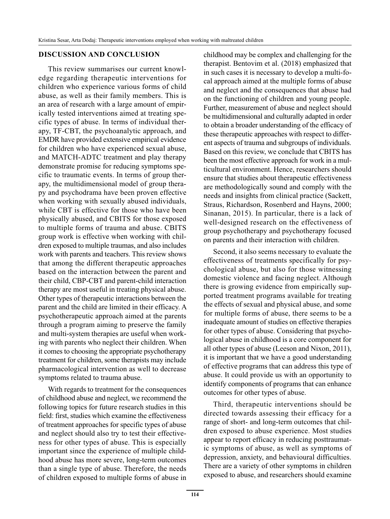#### **DISCUSSION AND CONCLUSION**

This review summarises our current knowledge regarding therapeutic interventions for children who experience various forms of child abuse, as well as their family members. This is an area of research with a large amount of empirically tested interventions aimed at treating specific types of abuse. In terms of individual therapy, TF-CBT, the psychoanalytic approach, and EMDR have provided extensive empirical evidence for children who have experienced sexual abuse, and MATCH-ADTC treatment and play therapy demonstrate promise for reducing symptoms specific to traumatic events. In terms of group therapy, the multidimensional model of group therapy and psychodrama have been proven effective when working with sexually abused individuals, while CBT is effective for those who have been physically abused, and CBITS for those exposed to multiple forms of trauma and abuse. CBITS group work is effective when working with children exposed to multiple traumas, and also includes work with parents and teachers. This review shows that among the different therapeutic approaches based on the interaction between the parent and their child, CBP-CBT and parent-child interaction therapy are most useful in treating physical abuse. Other types of therapeutic interactions between the parent and the child are limited in their efficacy. A psychotherapeutic approach aimed at the parents through a program aiming to preserve the family and multi-system therapies are useful when working with parents who neglect their children. When it comes to choosing the appropriate psychotherapy treatment for children, some therapists may include pharmacological intervention as well to decrease symptoms related to trauma abuse.

With regards to treatment for the consequences of childhood abuse and neglect, we recommend the following topics for future research studies in this field: first, studies which examine the effectiveness of treatment approaches for specific types of abuse and neglect should also try to test their effectiveness for other types of abuse. This is especially important since the experience of multiple childhood abuse has more severe, long-term outcomes than a single type of abuse. Therefore, the needs of children exposed to multiple forms of abuse in childhood may be complex and challenging for the therapist. Bentovim et al. (2018) emphasized that in such cases it is necessary to develop a multi-focal approach aimed at the multiple forms of abuse and neglect and the consequences that abuse had on the functioning of children and young people. Further, measurement of abuse and neglect should be multidimensional and culturally adapted in order to obtain a broader understanding of the efficacy of these therapeutic approaches with respect to different aspects of trauma and subgroups of individuals. Based on this review, we conclude that CBITS has been the most effective approach for work in a multicultural environment. Hence, researchers should ensure that studies about therapeutic effectiveness are methodologically sound and comply with the needs and insights from clinical practice (Sackett, Straus, Richardson, Rosenberd and Hayns, 2000; Sinanan, 2015). In particular, there is a lack of well-designed research on the effectiveness of group psychotherapy and psychotherapy focused on parents and their interaction with children.

Second, it also seems necessary to evaluate the effectiveness of treatments specifically for psychological abuse, but also for those witnessing domestic violence and facing neglect. Although there is growing evidence from empirically supported treatment programs available for treating the effects of sexual and physical abuse, and some for multiple forms of abuse, there seems to be a inadequate amount of studies on effective therapies for other types of abuse. Considering that psychological abuse in childhood is a core component for all other types of abuse (Leeson and Nixon, 2011), it is important that we have a good understanding of effective programs that can address this type of abuse. It could provide us with an opportunity to identify components of programs that can enhance outcomes for other types of abuse.

Third, therapeutic interventions should be directed towards assessing their efficacy for a range of short- and long-term outcomes that children exposed to abuse experience. Most studies appear to report efficacy in reducing posttraumatic symptoms of abuse, as well as symptoms of depression, anxiety, and behavioural difficulties. There are a variety of other symptoms in children exposed to abuse, and researchers should examine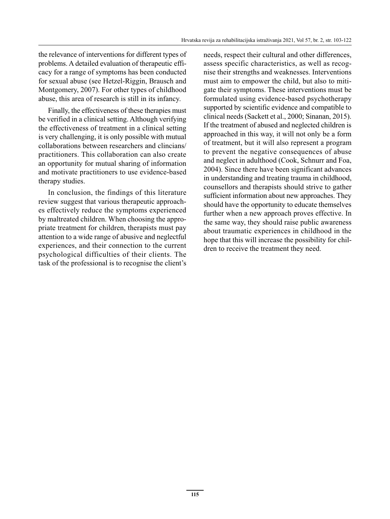the relevance of interventions for different types of problems. A detailed evaluation of therapeutic efficacy for a range of symptoms has been conducted for sexual abuse (see Hetzel-Riggin, Brausch and Montgomery, 2007). For other types of childhood abuse, this area of research is still in its infancy.

Finally, the effectiveness of these therapies must be verified in a clinical setting. Although verifying the effectiveness of treatment in a clinical setting is very challenging, it is only possible with mutual collaborations between researchers and clincians/ practitioners. This collaboration can also create an opportunity for mutual sharing of information and motivate practitioners to use evidence-based therapy studies.

In conclusion, the findings of this literature review suggest that various therapeutic approaches effectively reduce the symptoms experienced by maltreated children. When choosing the appropriate treatment for children, therapists must pay attention to a wide range of abusive and neglectful experiences, and their connection to the current psychological difficulties of their clients. The task of the professional is to recognise the client's needs, respect their cultural and other differences, assess specific characteristics, as well as recognise their strengths and weaknesses. Interventions must aim to empower the child, but also to mitigate their symptoms. These interventions must be formulated using evidence-based psychotherapy supported by scientific evidence and compatible to clinical needs (Sackett et al., 2000; Sinanan, 2015). If the treatment of abused and neglected children is approached in this way, it will not only be a form of treatment, but it will also represent a program to prevent the negative consequences of abuse and neglect in adulthood (Cook, Schnurr and Foa, 2004). Since there have been significant advances in understanding and treating trauma in childhood, counsellors and therapists should strive to gather sufficient information about new approaches. They should have the opportunity to educate themselves further when a new approach proves effective. In the same way, they should raise public awareness about traumatic experiences in childhood in the hope that this will increase the possibility for children to receive the treatment they need.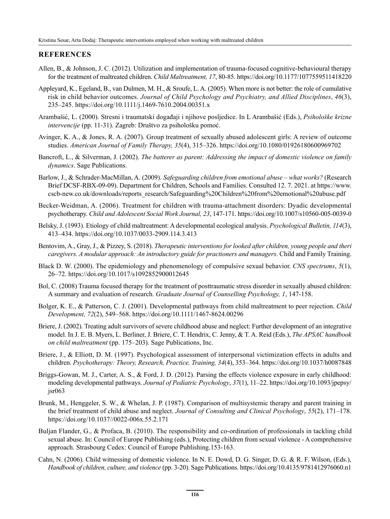#### **REFERENCES**

- Allen, B., & Johnson, J. C. (2012). Utilization and implementation of trauma-focused cognitive-behavioural therapy for the treatment of maltreated children. *Child Maltreatment, 17*, 80-85. https://doi.org/10.1177/1077559511418220
- Appleyard, K., Egeland, B., van Dulmen, M. H., & Sroufe, L. A. (2005). When more is not better: the role of cumulative risk in child behavior outcomes. *Journal of Child Psychology and Psychiatry, and Allied Disciplines*, *46*(3), 235–245. https://doi.org/10.1111/j.1469-7610.2004.00351.x
- Arambašić, L. (2000). Stresni i traumatski događaji i njihove posljedice. In L Arambašić (Eds.), *Psihološke krizne intervencije* (pp. 11-31). Zagreb: Društvo za psihološku pomoć.
- Avinger, K. A., & Jones, R. A. (2007). Group treatment of sexually abused adolescent girls: A review of outcome studies. *American Journal of Family Therapy, 35*(4), 315–326. https://doi.org/10.1080/01926180600969702
- Bancroft, L., & Silverman, J. (2002). *The batterer as parent: Addressing the impact of domestic violence on family dynamics*. Sage Publications.
- Barlow, J., & Schrader-MacMillan, A. (2009). *Safeguarding children from emotional abuse what works?* (Research Brief DCSF-RBX-09-09). Department for Children, Schools and Families. Consulted 12. 7. 2021. at https://www. cscb-new.co.uk/downloads/reports\_research/Safeguarding%20Children%20from%20emotional%20abuse.pdf
- Becker-Weidman, A. (2006). Treatment for children with trauma-attachment disorders: Dyadic developmental psychotherapy. *Child and Adolescent Social Work Journal, 23*, 147-171. https://doi.org/10.1007/s10560-005-0039-0
- Belsky, J. (1993). Etiology of child maltreatment: A developmental ecological analysis. *Psychological Bulletin, 114*(3), 413–434. https://doi.org/10.1037/0033-2909.114.3.413
- Bentovim, A., Gray, J., & Pizzey, S. (2018). *Therapeutic interventions for looked after children, young people and theri caregivers. A modular approach: An introductory guide for practioners and managers*. Child and Family Training.
- Black D. W. (2000). The epidemiology and phenomenology of compulsive sexual behavior. *CNS spectrums*, *5*(1), 26–72. https://doi.org/10.1017/s1092852900012645
- Bol, C. (2008) Trauma focused therapy for the treatment of posttraumatic stress disorder in sexually abused children: A summary and evaluation of research. *Graduate Journal of Counselling Psychology, 1*, 147-158.
- Bolger, K. E., & Patterson, C. J. (2001). Developmental pathways from child maltreatment to peer rejection. *Child Development, 72*(2), 549–568. https://doi.org/10.1111/1467-8624.00296
- Briere, J. (2002). Treating adult survivors of severe childhood abuse and neglect: Further development of an integrative model. In J. E. B. Myers, L. Berliner, J. Briere, C. T. Hendrix, C. Jenny, & T. A. Reid (Eds.), *The APSAC handbook on child maltreatment* (pp. 175–203). Sage Publications, Inc.
- Briere, J., & Elliott, D. M. (1997). Psychological assessment of interpersonal victimization effects in adults and children. *Psychotherapy: Theory, Research, Practice, Training, 34*(4), 353–364. https://doi.org/10.1037/h0087848
- Briggs-Gowan, M. J., Carter, A. S., & Ford, J. D. (2012). Parsing the effects violence exposure in early childhood: modeling developmental pathways. *Journal of Pediatric Psychology*, *37*(1), 11–22. https://doi.org/10.1093/jpepsy/ jsr063
- Brunk, M., Henggeler, S. W., & Whelan, J. P. (1987). Comparison of multisystemic therapy and parent training in the brief treatment of child abuse and neglect. *Journal of Consulting and Clinical Psychology*, *55*(2), 171–178. https://doi.org/10.1037//0022-006x.55.2.171
- Buljan Flander, G., & Profaca, B. (2010). The responsibility and co-ordination of professionals in tackling child sexual abuse. In: Council of Europe Publishing (eds.), Protecting children from sexual violence - A comprehensive approach. Strasbourg Cedex: Council of Europe Publishing.153-163.
- Cahn, N. (2006). Child witnessing of domestic violence. In N. E. Dowd, D. G. Singer, D. G. & R. F. Wilson, (Eds.), *Handbook of children, culture, and violence* (pp. 3-20). Sage Publications. https://doi.org/10.4135/9781412976060.n1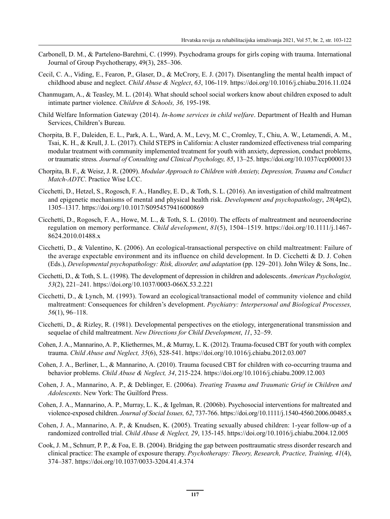- Carbonell, D. M., & Parteleno-Barehmi, C. (1999). Psychodrama groups for girls coping with trauma. International Journal of Group Psychotherapy, 49(3), 285–306.
- Cecil, C. A., Viding, E., Fearon, P., Glaser, D., & McCrory, E. J. (2017). Disentangling the mental health impact of childhood abuse and neglect. *Child Abuse & Neglect*, *63*, 106-119. https://doi.org/10.1016/j.chiabu.2016.11.024
- Chanmugam, A., & Teasley, M. L. (2014). What should school social workers know about children exposed to adult intimate partner violence. *Children & Schools, 36,* 195-198.
- Child Welfare Information Gateway (2014). *In-home services in child welfare*. Department of Health and Human Services, Children's Bureau.
- Chorpita, B. F., Daleiden, E. L., Park, A. L., Ward, A. M., Levy, M. C., Cromley, T., Chiu, A. W., Letamendi, A. M., Tsai, K. H., & Krull, J. L. (2017). Child STEPS in California: A cluster randomized effectiveness trial comparing modular treatment with community implemented treatment for youth with anxiety, depression, conduct problems, or traumatic stress*. Journal of Consulting and Clinical Psychology, 85*, 13–25. https://doi.org/10.1037/ccp0000133
- Chorpita, B. F., & Weisz, J. R. (2009). *Modular Approach to Children with Anxiety, Depression, Trauma and Conduct Match-ADTC*. Practice Wise LCC.
- Cicchetti, D., Hetzel, S., Rogosch, F. A., Handley, E. D., & Toth, S. L. (2016). An investigation of child maltreatment and epigenetic mechanisms of mental and physical health risk. *Development and psychopathology*, *28*(4pt2), 1305–1317. https://doi.org/10.1017/S0954579416000869
- Cicchetti, D., Rogosch, F. A., Howe, M. L., & Toth, S. L. (2010). The effects of maltreatment and neuroendocrine regulation on memory performance. *Child development*, *81*(5), 1504–1519. https://doi.org/10.1111/j.1467- 8624.2010.01488.x
- Cicchetti, D., & Valentino, K. (2006). An ecological-transactional perspective on child maltreatment: Failure of the average expectable environment and its influence on child development. In D. Cicchetti & D. J. Cohen (Eds.), *Developmental psychopathology: Risk, disorder, and adaptation* (pp. 129–201). John Wiley & Sons, Inc..
- Cicchetti, D., & Toth, S. L. (1998). The development of depression in children and adolescents. *American Psychologist, 53*(2), 221–241. https://doi.org/10.1037/0003-066X.53.2.221
- Cicchetti, D., & Lynch, M. (1993). Toward an ecological/transactional model of community violence and child maltreatment: Consequences for children's development. *Psychiatry: Interpersonal and Biological Processes, 56*(1), 96–118.
- Cicchetti, D., & Rizley, R. (1981). Developmental perspectives on the etiology, intergenerational transmission and sequelae of child maltreatment. *New Directions for Child Development*, *11*, 32–59.
- Cohen, J. A., Mannarino, A. P., Kliethermes, M., & Murray, L. K. (2012). Trauma-focused CBT for youth with complex trauma. *Child Abuse and Neglect, 35*(6), 528-541. https://doi.org/10.1016/j.chiabu.2012.03.007
- Cohen, J. A., Berliner, L., & Mannarino, A. (2010). Trauma focused CBT for children with co-occurring trauma and behavior problems. *Child Abuse & Neglect, 34*, 215-224. https://doi.org/10.1016/j.chiabu.2009.12.003
- Cohen, J. A., Mannarino, A. P., & Deblinger, E. (2006a). *Treating Trauma and Traumatic Grief in Children and Adolescents*. New York: The Guilford Press.
- Cohen, J. A., Mannarino, A. P., Murray, L. K., & Igelman, R. (2006b). Psychosocial interventions for maltreated and violence-exposed children. *Journal of Social Issues, 62*, 737-766. https://doi.org/10.1111/j.1540-4560.2006.00485.x
- Cohen, J. A., Mannarino, A. P., & Knudsen, K. (2005). Treating sexually abused children: 1-year follow-up of a randomized controlled trial. *Child Abuse & Neglect, 29*, 135-145. https://doi.org/10.1016/j.chiabu.2004.12.005
- Cook, J. M., Schnurr, P. P., & Foa, E. B. (2004). Bridging the gap between posttraumatic stress disorder research and clinical practice: The example of exposure therapy. *Psychotherapy: Theory, Research, Practice, Training, 41*(4), 374–387. https://doi.org/10.1037/0033-3204.41.4.374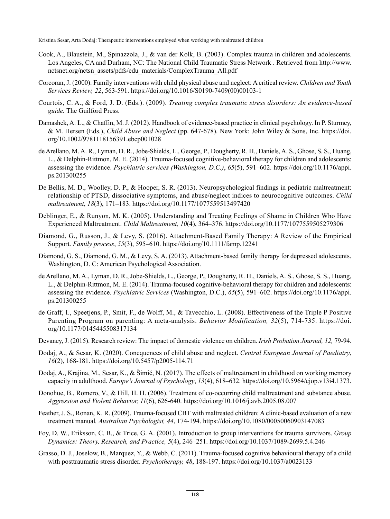- Cook, A., Blaustein, M., Spinazzola, J., & van der Kolk, B. (2003). Complex trauma in children and adolescents. Los Angeles, CA and Durham, NC: The National Child Traumatic Stress Network . Retrieved from http://www. nctsnet.org/nctsn\_assets/pdfs/edu\_materials/ComplexTrauma\_All.pdf
- Corcoran, J. (2000). Family interventions with child physical abuse and neglect: A critical review. *Children and Youth Services Review, 22*, 563-591. https://doi.org/10.1016/S0190-7409(00)00103-1
- Courtois, C. A., & Ford, J. D. (Eds.). (2009). *Treating complex traumatic stress disorders: An evidence-based guide.* The Guilford Press.
- Damashek, A. L., & Chaffin, M. J. (2012). Handbook of evidence-based practice in clinical psychology. In P. Sturmey, & M. Hersen (Eds.), *Child Abuse and Neglect* (pp. 647-678). New York: John Wiley & Sons, Inc. https://doi. org/10.1002/9781118156391.ebcp001028
- de Arellano, M. A. R., Lyman, D. R., Jobe-Shields, L., George, P., Dougherty, R. H., Daniels, A. S., Ghose, S. S., Huang, L., & Delphin-Rittmon, M. E. (2014). Trauma-focused cognitive-behavioral therapy for children and adolescents: assessing the evidence. *Psychiatric services (Washington, D.C.)*, *65*(5), 591–602. https://doi.org/10.1176/appi. ps.201300255
- De Bellis, M. D., Woolley, D. P., & Hooper, S. R. (2013). Neuropsychological findings in pediatric maltreatment: relationship of PTSD, dissociative symptoms, and abuse/neglect indices to neurocognitive outcomes. *Child maltreatment*, *18*(3), 171–183. https://doi.org/10.1177/1077559513497420
- Deblinger, E., & Runyon, M. K. (2005). Understanding and Treating Feelings of Shame in Children Who Have Experienced Maltreatment. *Child Maltreatment, 10*(4), 364–376. https://doi.org/10.1177/1077559505279306
- Diamond, G., Russon, J., & Levy, S. (2016). Attachment-Based Family Therapy: A Review of the Empirical Support. *Family process*, *55*(3), 595–610. https://doi.org/10.1111/famp.12241
- Diamond, G. S., Diamond, G. M., & Levy, S. A. (2013). Attachment-based family therapy for depressed adolescents. Washington, D. C: American Psychological Association.
- de Arellano, M. A., Lyman, D. R., Jobe-Shields, L., George, P., Dougherty, R. H., Daniels, A. S., Ghose, S. S., Huang, L., & Delphin-Rittmon, M. E. (2014). Trauma-focused cognitive-behavioral therapy for children and adolescents: assessing the evidence. *Psychiatric Services* (Washington, D.C.), *65*(5), 591–602. https://doi.org/10.1176/appi. ps.201300255
- de Graff, I., Speetjens, P., Smit, F., de Wolff, M., & Tavecchio, L. (2008). Effectiveness of the Triple P Positive Parenting Program on parenting: A meta-analysis. *Behavior Modification, 32*(5), 714-735. https://doi. org/10.1177/0145445508317134
- Devaney, J. (2015). Research review: The impact of domestic violence on children. *Irish Probation Journal, 12,* 79-94.
- Dodaj, A., & Sesar, K. (2020). Conequences of child abuse and neglect. *Central European Journal of Paediatry*, *16*(2), 168-181. https://doi.org/10.5457/p2005-114.71
- Dodaj, A., Krajina, M., Sesar, K., & Šimić, N. (2017). The effects of maltreatment in childhood on working memory capacity in adulthood. *Europe's Journal of Psychology*, *13*(4), 618–632. https://doi.org/10.5964/ejop.v13i4.1373.
- Donohue, B., Romero, V., & Hill, H. H. (2006). Treatment of co-occurring child maltreatment and substance abuse. *Aggression and Violent Behavior, 11*(6), 626-640. https://doi.org/10.1016/j.avb.2005.08.007
- Feather, J. S., Ronan, K. R. (2009). Trauma-focused CBT with maltreated children: A clinic-based evaluation of a new treatment manual*. Australian Psychologist, 44*, 174-194. https://doi.org/10.1080/00050060903147083
- Foy, D. W., Eriksson, C. B., & Trice, G. A. (2001). Introduction to group interventions for trauma survivors. *Group Dynamics: Theory, Research, and Practice, 5*(4), 246–251. https://doi.org/10.1037/1089-2699.5.4.246
- Grasso, D. J., Joselow, B., Marquez, Y., & Webb, C. (2011). Trauma-focused cognitive behavioural therapy of a child with posttraumatic stress disorder. *Psychotherapy, 48*, 188-197. https://doi.org/10.1037/a0023133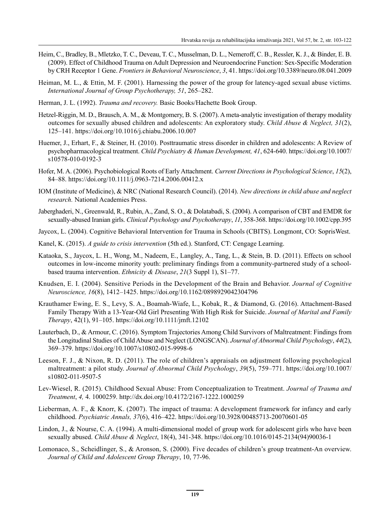- Heim, C., Bradley, B., Mletzko, T. C., Deveau, T. C., Musselman, D. L., Nemeroff, C. B., Ressler, K. J., & Binder, E. B. (2009). Effect of Childhood Trauma on Adult Depression and Neuroendocrine Function: Sex-Specific Moderation by CRH Receptor 1 Gene. *Frontiers in Behavioral Neuroscience*, *3*, 41. https://doi.org/10.3389/neuro.08.041.2009
- Heiman, M. L., & Ettin, M. F. (2001). Harnessing the power of the group for latency-aged sexual abuse victims. *International Journal of Group Psychotherapy, 51*, 265–282.
- Herman, J. L. (1992). *Trauma and recovery.* Basic Books/Hachette Book Group.
- Hetzel-Riggin, M. D., Brausch, A. M., & Montgomery, B. S. (2007). A meta-analytic investigation of therapy modality outcomes for sexually abused children and adolescents: An exploratory study. *Child Abuse & Neglect, 31*(2), 125–141. https://doi.org/10.1016/j.chiabu.2006.10.007
- Huemer, J., Erhart, F., & Steiner, H. (2010). Posttraumatic stress disorder in children and adolescents: A Review of psychopharmacological treatment. *Child Psychiatry & Human Development, 41*, 624-640. https://doi.org/10.1007/ s10578-010-0192-3
- Hofer, M. A. (2006). Psychobiological Roots of Early Attachment. *Current Directions in Psychological Science*, *15*(2), 84–88. https://doi.org/10.1111/j.0963-7214.2006.00412.x
- IOM (Institute of Medicine), & NRC (National Research Council). (2014). *New directions in child abuse and neglect research.* National Academies Press.
- Jaberghaderi, N., Greenwald, R., Rubin, A., Zand, S. O., & Dolatabadi, S. (2004). A comparison of CBT and EMDR for sexually-abused Iranian girls. *Clinical Psychology and Psychotherapy*, *11*, 358-368. https://doi.org/10.1002/cpp.395
- Jaycox, L. (2004). Cognitive Behavioral Intervention for Trauma in Schools (CBITS). Longmont, CO: SoprisWest.
- Kanel, K. (2015). *A guide to crisis intervention* (5th ed.). Stanford, CT: Cengage Learning.
- Kataoka, S., Jaycox, L. H., Wong, M., Nadeem, E., Langley, A., Tang, L., & Stein, B. D. (2011). Effects on school outcomes in low-income minority youth: preliminary findings from a community-partnered study of a schoolbased trauma intervention. *Ethnicity & Disease*, *21*(3 Suppl 1), S1–77.
- Knudsen, E. I. (2004). Sensitive Periods in the Development of the Brain and Behavior. *Journal of Cognitive Neuroscience, 16*(8), 1412–1425. https://doi.org/10.1162/0898929042304796
- Krauthamer Ewing, E. S., Levy, S. A., Boamah-Wiafe, L., Kobak, R., & Diamond, G. (2016). Attachment-Based Family Therapy With a 13-Year-Old Girl Presenting With High Risk for Suicide. *Journal of Marital and Family Therapy*, 42(1), 91–105. https://doi.org/10.1111/jmft.12102
- Lauterbach, D., & Armour, C. (2016). Symptom Trajectories Among Child Survivors of Maltreatment: Findings from the Longitudinal Studies of Child Abuse and Neglect (LONGSCAN). *Journal of Abnormal Child Psychology*, *44*(2), 369–379. https://doi.org/10.1007/s10802-015-9998-6
- Leeson, F. J., & Nixon, R. D. (2011). The role of children's appraisals on adjustment following psychological maltreatment: a pilot study. *Journal of Abnormal Child Psychology*, *39*(5), 759–771. https://doi.org/10.1007/ s10802-011-9507-5
- Lev-Wiesel, R. (2015). Childhood Sexual Abuse: From Conceptualization to Treatment. *Journal of Trauma and Treatment*, *4,* 4. 1000259. http://dx.doi.org/10.4172/2167-1222.1000259
- Lieberman, A. F., & Knorr, K. (2007). The impact of trauma: A development framework for infancy and early childhood. *Psychiatric Annals, 37*(6), 416–422. https://doi.org/10.3928/00485713-20070601-05
- Lindon, J., & Nourse, C. A. (1994). A multi-dimensional model of group work for adolescent girls who have been sexually abused. *Child Abuse & Neglect*, 18(4), 341-348. https://doi.org/10.1016/0145-2134(94)90036-1
- Lomonaco, S., Scheidlinger, S., & Aronson, S. (2000). Five decades of children's group treatment-An overview. *Journal of Child and Adolescent Group Therapy*, 10, 77-96.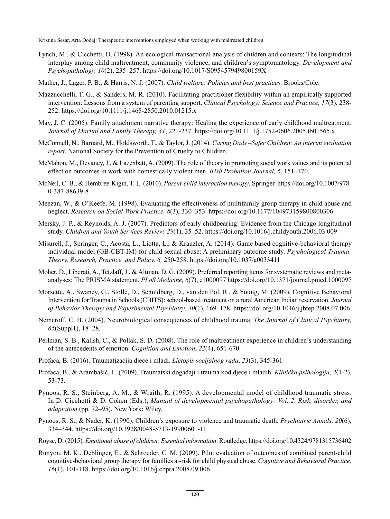Lynch, M., & Cicchetti, D. (1998). An ecological-transactional analysis of children and contexts: The longitudinal interplay among child maltreatment, community violence, and children's symptomatology. *Development and Psychopathology, 10*(2), 235–257. https://doi.org/10.1017/S095457949800159X

Mather, J., Lager, P. B., & Harris, N. J. (2007). *Child welfare: Policies and best practices*. Brooks/Cole.

- Mazzucchelli, T. G., & Sanders, M. R. (2010). Facilitating practitioner flexibility within an empirically supported intervention: Lessons from a system of parenting support. *Clinical Psychology: Science and Practice, 17*(3), 238- 252. https://doi.org/10.1111/j.1468-2850.2010.01215.x
- May, J. C. (2005). Family attachment narrative therapy: Healing the experience of early childhood maltreatment. *Journal of Marital and Family Therapy, 31*, 221-237. https://doi.org/10.1111/j.1752-0606.2005.tb01565.x
- McConnell, N., Barnard, M., Holdsworth, T., & Taylor, J. (2014). *Caring Dads –Safer Children: An interim evaluation report*. National Society for the Prevention of Cruelty to Children.
- McMahon, M., Devaney, J., & Lazenbatt, A. (2009). The role of theory in promoting social work values and its potential effect on outcomes in work with domestically violent men. *Irish Probation Journal, 6,* 151–170.
- McNeil, C. B., & Hembree-Kigin, T. L. (2010). *Parent-child interaction therapy*. Springer. https://doi.org/10.1007/978- 0-387-88639-8
- Meezan, W., & O'Keefe, M. (1998). Evaluating the effectiveness of multifamily group therapy in child abuse and neglect. *Research on Social Work Practice, 8*(3), 330–353. https://doi.org/10.1177/104973159800800306
- Mersky, J. P., & Reynolds, A. J. (2007). Predictors of early childbearing: Evidence from the Chicago longitudinal study. *Children and Youth Services Review, 29*(1), 35–52. https://doi.org/10.1016/j.childyouth.2006.03.009
- Misurell, J., Springer, C., Acosta, L., Liotta, L., & Kranzler, A. (2014). Game based cognitive-behavioral therapy individual model (GB-CBT-IM) for child sexual abuse: A preliminary outcome study. *Psychological Trauma: Theory, Research, Practice, and Policy, 6,* 250-258. https://doi.org/10.1037/a0033411
- Moher, D., Liberati, A., Tetzlaff, J., & Altman, D. G. (2009). Preferred reporting items for systematic reviews and metaanalyses: The PRISMA statement. *PLoS Medicine, 6*(7), e1000097 https://doi.org/10.1371/journal.pmed.1000097
- Morsette, A., Swaney, G., Stolle, D., Schuldberg, D., van den Pol, R., & Young, M. (2009). Cognitive Behavioral Intervention for Trauma in Schools (CBITS): school-based treatment on a rural American Indian reservation. *Journal of Behavior Therapy and Experimental Psychiatry*, *40*(1), 169–178. https://doi.org/10.1016/j.jbtep.2008.07.006
- Nemeroff, C. B. (2004). Neurobiological consequences of childhood trauma. *The Journal of Clinical Psychiatry, 65*(Suppl1), 18–28.
- Perlman, S. B., Kalish, C., & Pollak, S. D. (2008). The role of maltreatment experience in children's understanding of the antecedents of emotion. *Cognition and Emotion*, *22*(4), 651-670.
- Profaca, B. (2016). Traumatizacija djece i mladi. *Ljetopis socijalnog rada*, *23*(3), 345-361
- Profaca, B., & Arambašić, L. (2009). Traumatski događaji i trauma kod djece i mladih. *Klinička psihologija*, *2*(1-2), 53-73.
- Pynoos, R. S., Steinberg, A. M., & Wraith, R. (1995). A developmental model of childhood traumatic stress. In D. Cicchetti & D. Cohen (Eds.), *Manual of developmental psychopathology: Vol. 2. Risk, disorder, and adaptation* (pp. 72–95). New York: Wiley.
- Pynoos, R. S., & Nader, K. (1990). Children's exposure to violence and traumatic death. *Psychiatric Annals, 20*(6), 334–344. https://doi.org/10.3928/0048-5713-19900601-11
- Royse, D. (2015). *Emotional abuse of children: Essential information*. Routledge. https://doi.org/10.4324/9781315736402
- Runyon, M. K., Deblinger, E., & Schroeder, C. M. (2009). Pilot evaluation of outcomes of combined parent-child cognitive-behavioral group therapy for families at-risk for child physical abuse. *Cognitive and Behavioral Practice, 16*(1), 101-118. https://doi.org/10.1016/j.cbpra.2008.09.006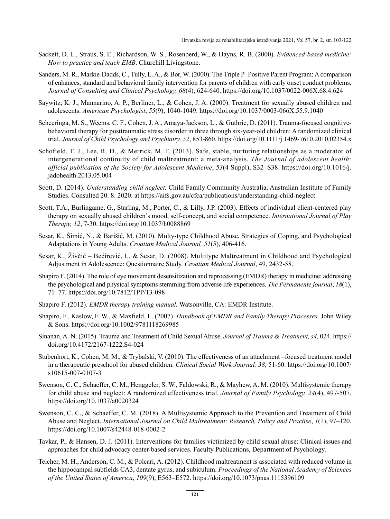- Sackett, D. L., Straus, S. E., Richardson, W. S., Rosenberd, W., & Hayns, R. B. (2000). *Evidenced-based medicine: How to practice and teach EMB*. Churchill Livingstone.
- Sanders, M. R., Markie-Dadds, C., Tully, L. A., & Bor, W. (2000). The Triple P–Positive Parent Program: A comparison of enhances, standard and behavioral family intervention for parents of children with early onset conduct problems. *Journal of Consulting and Clinical Psychology, 68*(4), 624-640. https://doi.org/10.1037/0022-006X.68.4.624
- Saywitz, K. J., Mannarino, A. P., Berliner, L., & Cohen, J. A. (2000). Treatment for sexually abused children and adolescents. *American Psychologist*, *55*(9), 1040-1049. https://doi.org/10.1037/0003-066X.55.9.1040
- Scheeringa, M. S., Weems, C. F., Cohen, J. A., Amaya-Jackson, L., & Guthrie, D. (2011). Trauma-focused cognitivebehavioral therapy for posttraumatic stress disorder in three through six-year-old children: A randomized clinical trial. *Journal of Child Psychology and Psychiatry, 52*, 853-860. https://doi.org/10.1111/j.1469-7610.2010.02354.x
- Schofield, T. J., Lee, R. D., & Merrick, M. T. (2013). Safe, stable, nurturing relationships as a moderator of intergenerational continuity of child maltreatment: a meta-analysis. *The Journal of adolescent health: official publication of the Society for Adolescent Medicine*, *53*(4 Suppl), S32–S38. https://doi.org/10.1016/j. jadohealth.2013.05.004
- Scott, D. (2014). *Understanding child neglect.* Child Family Community Australia, Australian Institute of Family Studies. Consulted 20. 8. 2020. at https://aifs.gov.au/cfca/publications/understanding-child-neglect
- Scott, T.A., Burlingame, G., Starling, M., Porter, C., & Lilly, J.P. (2003). Effects of individual client-centered play therapy on sexually abused children's mood, self-concept, and social competence. *International Journal of Play Therapy, 12*, 7-30. https://doi.org/10.1037/h0088869
- Sesar, K., Šimić, N., & Barišić, M. (2010). Multy-type Childhood Abuse, Strategies of Coping, and Psychological Adaptations in Young Adults. *Croatian Medical Journal, 51*(5), 406-416.
- Sesar, K., Živčić Bećirević, I., & Sesar, D. (2008). Multitype Maltreatment in Childhood and Psychological Adjustment in Adolescence: Questionnaire Study. *Croatian Medical Journal*, 49, 2432-58.
- Shapiro F. (2014). The role of eye movement desensitization and reprocessing (EMDR) therapy in medicine: addressing the psychological and physical symptoms stemming from adverse life experiences. *The Permanente journal*, *18*(1), 71–77. https://doi.org/10.7812/TPP/13-098
- Shapiro F. (2012). *EMDR therapy training manual.* Watsonville, CA: EMDR Institute.
- Shapiro, F., Kaslow, F. W., & Maxfield, L. (2007). *Handbook of EMDR and Family Therapy Processes*. John Wiley & Sons. https://doi.org/10.1002/9781118269985
- Sinanan, A. N. (2015). Trauma and Treatment of Child Sexual Abuse. *Journal of Trauma & Treatment, s4,* 024. https:// doi.org/10.4172/2167-1222.S4-024
- Stubenhort, K., Cohen, M. M., & Trybalski, V. (2010). The effectiveness of an attachment –focused treatment model in a therapeutic preschool for abused children. *Clinical Social Work Journal, 38*, 51-60. https://doi.org/10.1007/ s10615-007-0107-3
- Swenson, C. C., Schaeffer, C. M., Henggeler, S. W., Faldowski, R., & Mayhew, A. M. (2010). Multisystemic therapy for child abuse and neglect: A randomized effectiveness trial. *Journal of Family Psychology, 24*(4), 497-507. https://doi.org/10.1037/a0020324
- Swenson, C. C., & Schaeffer, C. M. (2018). A Multisystemic Approach to the Prevention and Treatment of Child Abuse and Neglect. *International Journal on Child Maltreatment: Research, Policy and Practise*, *1*(1), 97–120. https://doi.org/10.1007/s42448-018-0002-2
- Tavkar, P., & Hansen, D. J. (2011). Interventions for families victimized by child sexual abuse: Clinical issues and approaches for child advocacy center-based services. Faculty Publications, Department of Psychology.
- Teicher, M. H., Anderson, C. M., & Polcari, A. (2012). Childhood maltreatment is associated with reduced volume in the hippocampal subfields CA3, dentate gyrus, and subiculum. *Proceedings of the National Academy of Sciences of the United States of America*, *109*(9), E563–E572. https://doi.org/10.1073/pnas.1115396109